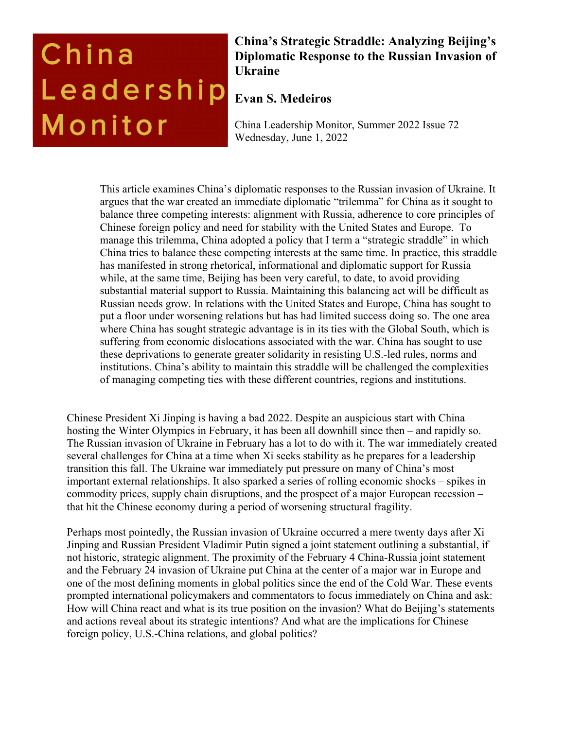# China Leadership Monitor

# **China's Strategic Straddle: Analyzing Beijing's Diplomatic Response to the Russian Invasion of Ukraine**

# **Evan S. Medeiros**

China Leadership Monitor, Summer 2022 Issue 72 Wednesday, June 1, 2022

This article examines China's diplomatic responses to the Russian invasion of Ukraine. It argues that the war created an immediate diplomatic "trilemma" for China as it sought to balance three competing interests: alignment with Russia, adherence to core principles of Chinese foreign policy and need for stability with the United States and Europe. To manage this trilemma, China adopted a policy that I term a "strategic straddle" in which China tries to balance these competing interests at the same time. In practice, this straddle has manifested in strong rhetorical, informational and diplomatic support for Russia while, at the same time, Beijing has been very careful, to date, to avoid providing substantial material support to Russia. Maintaining this balancing act will be difficult as Russian needs grow. In relations with the United States and Europe, China has sought to put a floor under worsening relations but has had limited success doing so. The one area where China has sought strategic advantage is in its ties with the Global South, which is suffering from economic dislocations associated with the war. China has sought to use these deprivations to generate greater solidarity in resisting U.S.-led rules, norms and institutions. China's ability to maintain this straddle will be challenged the complexities of managing competing ties with these different countries, regions and institutions.

Chinese President Xi Jinping is having a bad 2022. Despite an auspicious start with China hosting the Winter Olympics in February, it has been all downhill since then – and rapidly so. The Russian invasion of Ukraine in February has a lot to do with it. The war immediately created several challenges for China at a time when Xi seeks stability as he prepares for a leadership transition this fall. The Ukraine war immediately put pressure on many of China's most important external relationships. It also sparked a series of rolling economic shocks – spikes in commodity prices, supply chain disruptions, and the prospect of a major European recession – that hit the Chinese economy during a period of worsening structural fragility.

Perhaps most pointedly, the Russian invasion of Ukraine occurred a mere twenty days after Xi Jinping and Russian President Vladimir Putin signed a joint statement outlining a substantial, if not historic, strategic alignment. The proximity of the February 4 China-Russia joint statement and the February 24 invasion of Ukraine put China at the center of a major war in Europe and one of the most defining moments in global politics since the end of the Cold War. These events prompted international policymakers and commentators to focus immediately on China and ask: How will China react and what is its true position on the invasion? What do Beijing's statements and actions reveal about its strategic intentions? And what are the implications for Chinese foreign policy, U.S.-China relations, and global politics?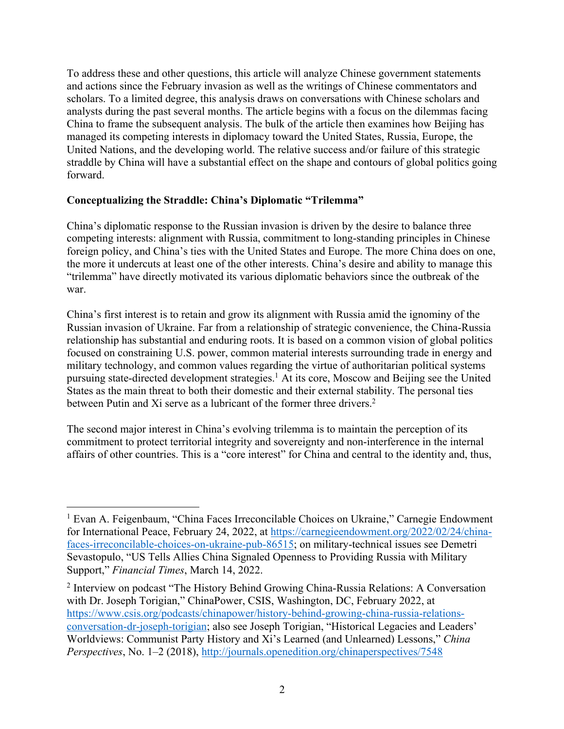To address these and other questions, this article will analyze Chinese government statements and actions since the February invasion as well as the writings of Chinese commentators and scholars. To a limited degree, this analysis draws on conversations with Chinese scholars and analysts during the past several months. The article begins with a focus on the dilemmas facing China to frame the subsequent analysis. The bulk of the article then examines how Beijing has managed its competing interests in diplomacy toward the United States, Russia, Europe, the United Nations, and the developing world. The relative success and/or failure of this strategic straddle by China will have a substantial effect on the shape and contours of global politics going forward.

#### **Conceptualizing the Straddle: China's Diplomatic "Trilemma"**

China's diplomatic response to the Russian invasion is driven by the desire to balance three competing interests: alignment with Russia, commitment to long-standing principles in Chinese foreign policy, and China's ties with the United States and Europe. The more China does on one, the more it undercuts at least one of the other interests. China's desire and ability to manage this "trilemma" have directly motivated its various diplomatic behaviors since the outbreak of the war.

China's first interest is to retain and grow its alignment with Russia amid the ignominy of the Russian invasion of Ukraine. Far from a relationship of strategic convenience, the China-Russia relationship has substantial and enduring roots. It is based on a common vision of global politics focused on constraining U.S. power, common material interests surrounding trade in energy and military technology, and common values regarding the virtue of authoritarian political systems pursuing state-directed development strategies. <sup>1</sup> At its core, Moscow and Beijing see the United States as the main threat to both their domestic and their external stability. The personal ties between Putin and Xi serve as a lubricant of the former three drivers.<sup>2</sup>

The second major interest in China's evolving trilemma is to maintain the perception of its commitment to protect territorial integrity and sovereignty and non-interference in the internal affairs of other countries. This is a "core interest" for China and central to the identity and, thus,

<sup>&</sup>lt;sup>1</sup> Evan A. Feigenbaum, "China Faces Irreconcilable Choices on Ukraine," Carnegie Endowment for International Peace, February 24, 2022, at https://carnegieendowment.org/2022/02/24/chinafaces-irreconcilable-choices-on-ukraine-pub-86515; on military-technical issues see Demetri Sevastopulo, "US Tells Allies China Signaled Openness to Providing Russia with Military Support," *Financial Times*, March 14, 2022.

<sup>2</sup> Interview on podcast "The History Behind Growing China-Russia Relations: A Conversation with Dr. Joseph Torigian," ChinaPower, CSIS, Washington, DC, February 2022, at https://www.csis.org/podcasts/chinapower/history-behind-growing-china-russia-relationsconversation-dr-joseph-torigian; also see Joseph Torigian, "Historical Legacies and Leaders' Worldviews: Communist Party History and Xi's Learned (and Unlearned) Lessons," *China Perspectives*, No. 1–2 (2018), http://journals.openedition.org/chinaperspectives/7548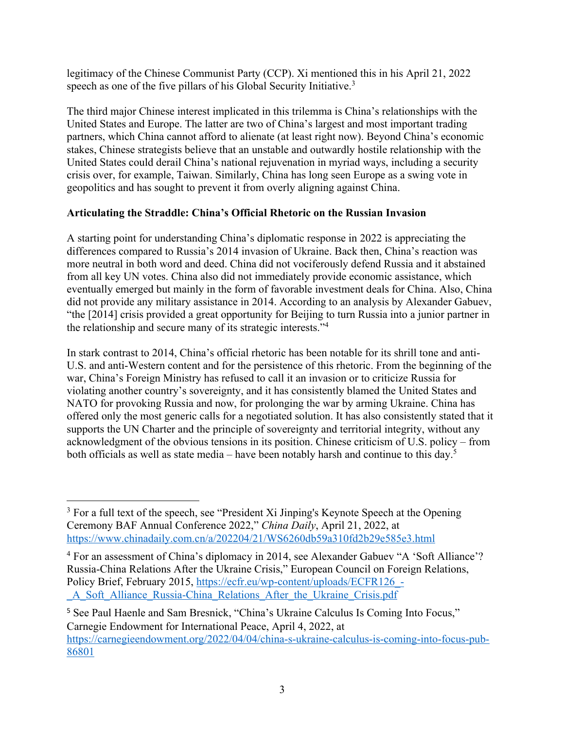legitimacy of the Chinese Communist Party (CCP). Xi mentioned this in his April 21, 2022 speech as one of the five pillars of his Global Security Initiative.<sup>3</sup>

The third major Chinese interest implicated in this trilemma is China's relationships with the United States and Europe. The latter are two of China's largest and most important trading partners, which China cannot afford to alienate (at least right now). Beyond China's economic stakes, Chinese strategists believe that an unstable and outwardly hostile relationship with the United States could derail China's national rejuvenation in myriad ways, including a security crisis over, for example, Taiwan. Similarly, China has long seen Europe as a swing vote in geopolitics and has sought to prevent it from overly aligning against China.

### **Articulating the Straddle: China's Official Rhetoric on the Russian Invasion**

A starting point for understanding China's diplomatic response in 2022 is appreciating the differences compared to Russia's 2014 invasion of Ukraine. Back then, China's reaction was more neutral in both word and deed. China did not vociferously defend Russia and it abstained from all key UN votes. China also did not immediately provide economic assistance, which eventually emerged but mainly in the form of favorable investment deals for China. Also, China did not provide any military assistance in 2014. According to an analysis by Alexander Gabuev, "the [2014] crisis provided a great opportunity for Beijing to turn Russia into a junior partner in the relationship and secure many of its strategic interests."4

In stark contrast to 2014, China's official rhetoric has been notable for its shrill tone and anti-U.S. and anti-Western content and for the persistence of this rhetoric. From the beginning of the war, China's Foreign Ministry has refused to call it an invasion or to criticize Russia for violating another country's sovereignty, and it has consistently blamed the United States and NATO for provoking Russia and now, for prolonging the war by arming Ukraine. China has offered only the most generic calls for a negotiated solution. It has also consistently stated that it supports the UN Charter and the principle of sovereignty and territorial integrity, without any acknowledgment of the obvious tensions in its position. Chinese criticism of U.S. policy – from both officials as well as state media – have been notably harsh and continue to this day.<sup>5</sup>

<sup>&</sup>lt;sup>3</sup> For a full text of the speech, see "President Xi Jinping's Keynote Speech at the Opening Ceremony BAF Annual Conference 2022," *China Daily*, April 21, 2022, at https://www.chinadaily.com.cn/a/202204/21/WS6260db59a310fd2b29e585e3.html

<sup>&</sup>lt;sup>4</sup> For an assessment of China's diplomacy in 2014, see Alexander Gabuev "A 'Soft Alliance'? Russia-China Relations After the Ukraine Crisis," European Council on Foreign Relations, Policy Brief, February 2015, https://ecfr.eu/wp-content/uploads/ECFR126 -\_A\_Soft\_Alliance\_Russia-China\_Relations\_After\_the\_Ukraine\_Crisis.pdf

<sup>5</sup> See Paul Haenle and Sam Bresnick, "China's Ukraine Calculus Is Coming Into Focus," Carnegie Endowment for International Peace, April 4, 2022, at https://carnegieendowment.org/2022/04/04/china-s-ukraine-calculus-is-coming-into-focus-pub-86801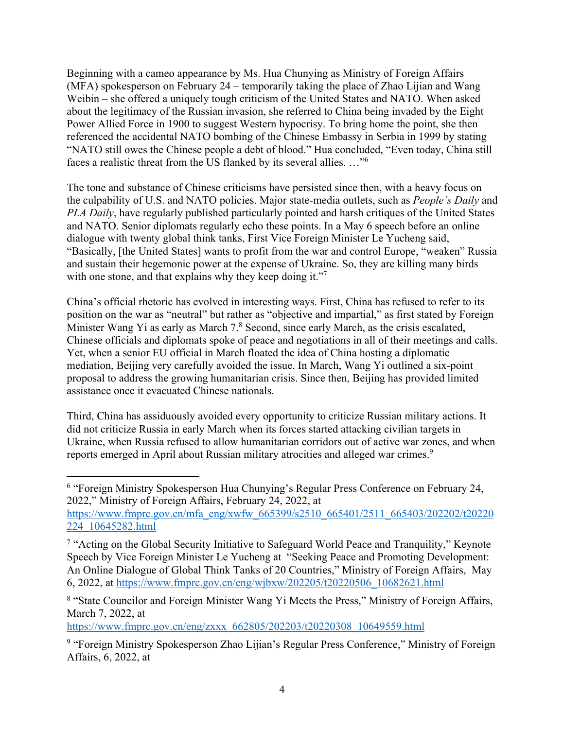Beginning with a cameo appearance by Ms. Hua Chunying as Ministry of Foreign Affairs (MFA) spokesperson on February 24 – temporarily taking the place of Zhao Lijian and Wang Weibin – she offered a uniquely tough criticism of the United States and NATO. When asked about the legitimacy of the Russian invasion, she referred to China being invaded by the Eight Power Allied Force in 1900 to suggest Western hypocrisy. To bring home the point, she then referenced the accidental NATO bombing of the Chinese Embassy in Serbia in 1999 by stating "NATO still owes the Chinese people a debt of blood." Hua concluded, "Even today, China still faces a realistic threat from the US flanked by its several allies. …"6

The tone and substance of Chinese criticisms have persisted since then, with a heavy focus on the culpability of U.S. and NATO policies. Major state-media outlets, such as *People's Daily* and *PLA Daily*, have regularly published particularly pointed and harsh critiques of the United States and NATO. Senior diplomats regularly echo these points. In a May 6 speech before an online dialogue with twenty global think tanks, First Vice Foreign Minister Le Yucheng said, "Basically, [the United States] wants to profit from the war and control Europe, "weaken" Russia and sustain their hegemonic power at the expense of Ukraine. So, they are killing many birds with one stone, and that explains why they keep doing it."<sup>7</sup>

China's official rhetoric has evolved in interesting ways. First, China has refused to refer to its position on the war as "neutral" but rather as "objective and impartial," as first stated by Foreign Minister Wang Yi as early as March 7.8 Second, since early March, as the crisis escalated, Chinese officials and diplomats spoke of peace and negotiations in all of their meetings and calls. Yet, when a senior EU official in March floated the idea of China hosting a diplomatic mediation, Beijing very carefully avoided the issue. In March, Wang Yi outlined a six-point proposal to address the growing humanitarian crisis. Since then, Beijing has provided limited assistance once it evacuated Chinese nationals.

Third, China has assiduously avoided every opportunity to criticize Russian military actions. It did not criticize Russia in early March when its forces started attacking civilian targets in Ukraine, when Russia refused to allow humanitarian corridors out of active war zones, and when reports emerged in April about Russian military atrocities and alleged war crimes.<sup>9</sup>

https://www.fmprc.gov.cn/eng/zxxx\_662805/202203/t20220308\_10649559.html

<sup>6</sup> "Foreign Ministry Spokesperson Hua Chunying's Regular Press Conference on February 24, 2022," Ministry of Foreign Affairs, February 24, 2022, at

https://www.fmprc.gov.cn/mfa\_eng/xwfw\_665399/s2510\_665401/2511\_665403/202202/t20220 224\_10645282.html

<sup>&</sup>lt;sup>7</sup> "Acting on the Global Security Initiative to Safeguard World Peace and Tranquility," Keynote Speech by Vice Foreign Minister Le Yucheng at "Seeking Peace and Promoting Development: An Online Dialogue of Global Think Tanks of 20 Countries," Ministry of Foreign Affairs, May 6, 2022, at https://www.fmprc.gov.cn/eng/wjbxw/202205/t20220506\_10682621.html

<sup>8</sup> "State Councilor and Foreign Minister Wang Yi Meets the Press," Ministry of Foreign Affairs, March 7, 2022, at

<sup>&</sup>lt;sup>9</sup> "Foreign Ministry Spokesperson Zhao Lijian's Regular Press Conference," Ministry of Foreign Affairs, 6, 2022, at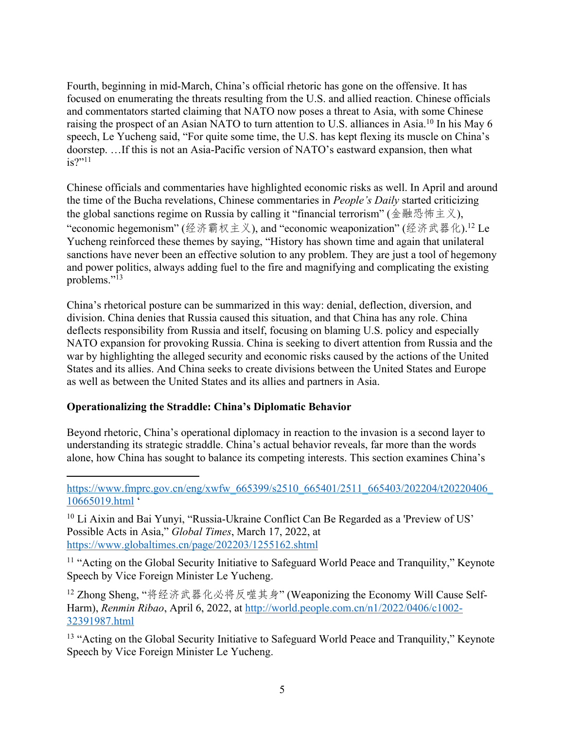Fourth, beginning in mid-March, China's official rhetoric has gone on the offensive. It has focused on enumerating the threats resulting from the U.S. and allied reaction. Chinese officials and commentators started claiming that NATO now poses a threat to Asia, with some Chinese raising the prospect of an Asian NATO to turn attention to U.S. alliances in Asia.<sup>10</sup> In his May 6 speech, Le Yucheng said, "For quite some time, the U.S. has kept flexing its muscle on China's doorstep. …If this is not an Asia-Pacific version of NATO's eastward expansion, then what  $is?$ "<sup>11</sup>

Chinese officials and commentaries have highlighted economic risks as well. In April and around the time of the Bucha revelations, Chinese commentaries in *People's Daily* started criticizing the global sanctions regime on Russia by calling it "financial terrorism" ( $\triangleq \mathbb{R} \otimes \mathbb{R} \oplus \triangleq \times$ ), "economic hegemonism" (经济霸权主义), and "economic weaponization" (经济武器化).<sup>12</sup> Le Yucheng reinforced these themes by saying, "History has shown time and again that unilateral sanctions have never been an effective solution to any problem. They are just a tool of hegemony and power politics, always adding fuel to the fire and magnifying and complicating the existing problems."<sup>13</sup>

China's rhetorical posture can be summarized in this way: denial, deflection, diversion, and division. China denies that Russia caused this situation, and that China has any role. China deflects responsibility from Russia and itself, focusing on blaming U.S. policy and especially NATO expansion for provoking Russia. China is seeking to divert attention from Russia and the war by highlighting the alleged security and economic risks caused by the actions of the United States and its allies. And China seeks to create divisions between the United States and Europe as well as between the United States and its allies and partners in Asia.

### **Operationalizing the Straddle: China's Diplomatic Behavior**

Beyond rhetoric, China's operational diplomacy in reaction to the invasion is a second layer to understanding its strategic straddle. China's actual behavior reveals, far more than the words alone, how China has sought to balance its competing interests. This section examines China's

https://www.fmprc.gov.cn/eng/xwfw\_665399/s2510\_665401/2511\_665403/202204/t20220406 10665019.html '

<sup>10</sup> Li Aixin and Bai Yunyi, "Russia-Ukraine Conflict Can Be Regarded as a 'Preview of US' Possible Acts in Asia," *Global Times*, March 17, 2022, at https://www.globaltimes.cn/page/202203/1255162.shtml

<sup>11</sup> "Acting on the Global Security Initiative to Safeguard World Peace and Tranquility," Keynote Speech by Vice Foreign Minister Le Yucheng.

<sup>12</sup> Zhong Sheng, "将经济武器化必将反噬其身" (Weaponizing the Economy Will Cause Self-Harm), *Renmin Ribao*, April 6, 2022, at http://world.people.com.cn/n1/2022/0406/c1002- 32391987.html

<sup>13</sup> "Acting on the Global Security Initiative to Safeguard World Peace and Tranquility," Keynote Speech by Vice Foreign Minister Le Yucheng.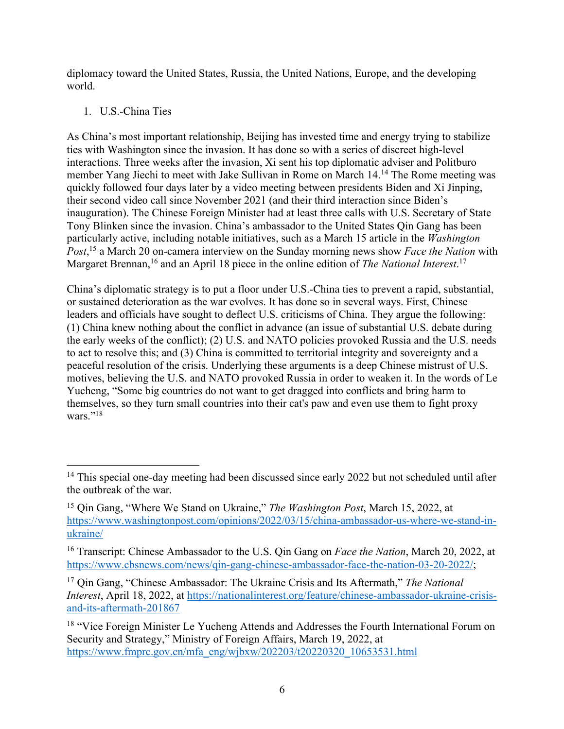diplomacy toward the United States, Russia, the United Nations, Europe, and the developing world.

## 1. U.S.-China Ties

As China's most important relationship, Beijing has invested time and energy trying to stabilize ties with Washington since the invasion. It has done so with a series of discreet high-level interactions. Three weeks after the invasion, Xi sent his top diplomatic adviser and Politburo member Yang Jiechi to meet with Jake Sullivan in Rome on March 14. <sup>14</sup> The Rome meeting was quickly followed four days later by a video meeting between presidents Biden and Xi Jinping, their second video call since November 2021 (and their third interaction since Biden's inauguration). The Chinese Foreign Minister had at least three calls with U.S. Secretary of State Tony Blinken since the invasion. China's ambassador to the United States Qin Gang has been particularly active, including notable initiatives, such as a March 15 article in the *Washington Post*, <sup>15</sup> a March 20 on-camera interview on the Sunday morning news show *Face the Nation* with Margaret Brennan,<sup>16</sup> and an April 18 piece in the online edition of *The National Interest*.<sup>17</sup>

China's diplomatic strategy is to put a floor under U.S.-China ties to prevent a rapid, substantial, or sustained deterioration as the war evolves. It has done so in several ways. First, Chinese leaders and officials have sought to deflect U.S. criticisms of China. They argue the following: (1) China knew nothing about the conflict in advance (an issue of substantial U.S. debate during the early weeks of the conflict); (2) U.S. and NATO policies provoked Russia and the U.S. needs to act to resolve this; and (3) China is committed to territorial integrity and sovereignty and a peaceful resolution of the crisis. Underlying these arguments is a deep Chinese mistrust of U.S. motives, believing the U.S. and NATO provoked Russia in order to weaken it. In the words of Le Yucheng, "Some big countries do not want to get dragged into conflicts and bring harm to themselves, so they turn small countries into their cat's paw and even use them to fight proxy wars."<sup>18</sup>

<sup>&</sup>lt;sup>14</sup> This special one-day meeting had been discussed since early 2022 but not scheduled until after the outbreak of the war.

<sup>15</sup> Qin Gang, "Where We Stand on Ukraine," *The Washington Post*, March 15, 2022, at https://www.washingtonpost.com/opinions/2022/03/15/china-ambassador-us-where-we-stand-inukraine/

<sup>16</sup> Transcript: Chinese Ambassador to the U.S. Qin Gang on *Face the Nation*, March 20, 2022, at https://www.cbsnews.com/news/qin-gang-chinese-ambassador-face-the-nation-03-20-2022/;

<sup>17</sup> Qin Gang, "Chinese Ambassador: The Ukraine Crisis and Its Aftermath," *The National Interest*, April 18, 2022, at https://nationalinterest.org/feature/chinese-ambassador-ukraine-crisisand-its-aftermath-201867

<sup>&</sup>lt;sup>18</sup> "Vice Foreign Minister Le Yucheng Attends and Addresses the Fourth International Forum on Security and Strategy," Ministry of Foreign Affairs, March 19, 2022, at https://www.fmprc.gov.cn/mfa\_eng/wjbxw/202203/t20220320\_10653531.html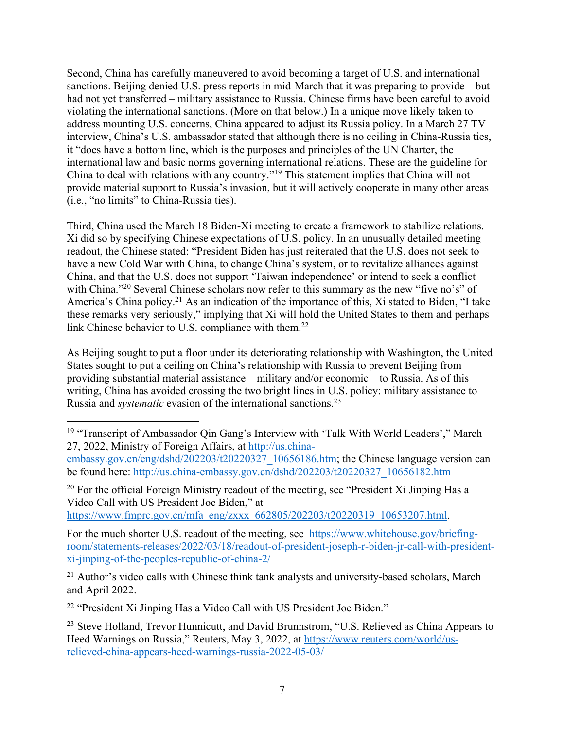Second, China has carefully maneuvered to avoid becoming a target of U.S. and international sanctions. Beijing denied U.S. press reports in mid-March that it was preparing to provide – but had not yet transferred – military assistance to Russia. Chinese firms have been careful to avoid violating the international sanctions. (More on that below.) In a unique move likely taken to address mounting U.S. concerns, China appeared to adjust its Russia policy. In a March 27 TV interview, China's U.S. ambassador stated that although there is no ceiling in China-Russia ties, it "does have a bottom line, which is the purposes and principles of the UN Charter, the international law and basic norms governing international relations. These are the guideline for China to deal with relations with any country."19 This statement implies that China will not provide material support to Russia's invasion, but it will actively cooperate in many other areas (i.e., "no limits" to China-Russia ties).

Third, China used the March 18 Biden-Xi meeting to create a framework to stabilize relations. Xi did so by specifying Chinese expectations of U.S. policy. In an unusually detailed meeting readout, the Chinese stated: "President Biden has just reiterated that the U.S. does not seek to have a new Cold War with China, to change China's system, or to revitalize alliances against China, and that the U.S. does not support 'Taiwan independence' or intend to seek a conflict with China."<sup>20</sup> Several Chinese scholars now refer to this summary as the new "five no's" of America's China policy.21 As an indication of the importance of this, Xi stated to Biden, "I take these remarks very seriously," implying that Xi will hold the United States to them and perhaps link Chinese behavior to U.S. compliance with them.<sup>22</sup>

As Beijing sought to put a floor under its deteriorating relationship with Washington, the United States sought to put a ceiling on China's relationship with Russia to prevent Beijing from providing substantial material assistance – military and/or economic – to Russia. As of this writing, China has avoided crossing the two bright lines in U.S. policy: military assistance to Russia and *systematic* evasion of the international sanctions.23

<sup>20</sup> For the official Foreign Ministry readout of the meeting, see "President Xi Jinping Has a Video Call with US President Joe Biden," at

https://www.fmprc.gov.cn/mfa\_eng/zxxx\_662805/202203/t20220319\_10653207.html.

For the much shorter U.S. readout of the meeting, see https://www.whitehouse.gov/briefingroom/statements-releases/2022/03/18/readout-of-president-joseph-r-biden-jr-call-with-presidentxi-jinping-of-the-peoples-republic-of-china-2/

 $21$  Author's video calls with Chinese think tank analysts and university-based scholars, March and April 2022.

<sup>22</sup> "President Xi Jinping Has a Video Call with US President Joe Biden."

<sup>19</sup> "Transcript of Ambassador Qin Gang's Interview with 'Talk With World Leaders'," March 27, 2022, Ministry of Foreign Affairs, at http://us.china-

embassy.gov.cn/eng/dshd/202203/t20220327\_10656186.htm; the Chinese language version can be found here: http://us.china-embassy.gov.cn/dshd/202203/t20220327\_10656182.htm

<sup>&</sup>lt;sup>23</sup> Steve Holland, Trevor Hunnicutt, and David Brunnstrom, "U.S. Relieved as China Appears to Heed Warnings on Russia," Reuters, May 3, 2022, at https://www.reuters.com/world/usrelieved-china-appears-heed-warnings-russia-2022-05-03/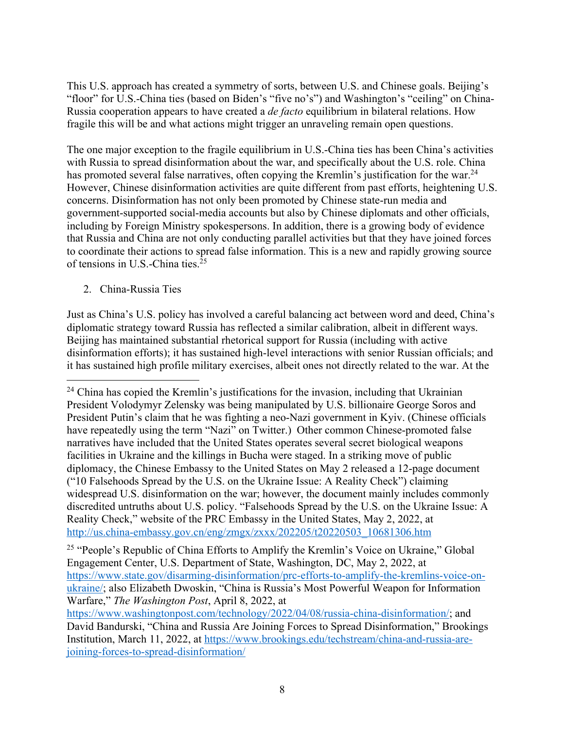This U.S. approach has created a symmetry of sorts, between U.S. and Chinese goals. Beijing's "floor" for U.S.-China ties (based on Biden's "five no's") and Washington's "ceiling" on China-Russia cooperation appears to have created a *de facto* equilibrium in bilateral relations. How fragile this will be and what actions might trigger an unraveling remain open questions.

The one major exception to the fragile equilibrium in U.S.-China ties has been China's activities with Russia to spread disinformation about the war, and specifically about the U.S. role. China has promoted several false narratives, often copying the Kremlin's justification for the war.<sup>24</sup> However, Chinese disinformation activities are quite different from past efforts, heightening U.S. concerns. Disinformation has not only been promoted by Chinese state-run media and government-supported social-media accounts but also by Chinese diplomats and other officials, including by Foreign Ministry spokespersons. In addition, there is a growing body of evidence that Russia and China are not only conducting parallel activities but that they have joined forces to coordinate their actions to spread false information. This is a new and rapidly growing source of tensions in U.S.-China ties. 25

2. China-Russia Ties

Just as China's U.S. policy has involved a careful balancing act between word and deed, China's diplomatic strategy toward Russia has reflected a similar calibration, albeit in different ways. Beijing has maintained substantial rhetorical support for Russia (including with active disinformation efforts); it has sustained high-level interactions with senior Russian officials; and it has sustained high profile military exercises, albeit ones not directly related to the war. At the

<sup>25</sup> "People's Republic of China Efforts to Amplify the Kremlin's Voice on Ukraine," Global Engagement Center, U.S. Department of State, Washington, DC, May 2, 2022, at https://www.state.gov/disarming-disinformation/prc-efforts-to-amplify-the-kremlins-voice-onukraine/; also Elizabeth Dwoskin, "China is Russia's Most Powerful Weapon for Information Warfare," *The Washington Post*, April 8, 2022, at

 $24$  China has copied the Kremlin's justifications for the invasion, including that Ukrainian President Volodymyr Zelensky was being manipulated by U.S. billionaire George Soros and President Putin's claim that he was fighting a neo-Nazi government in Kyiv. (Chinese officials have repeatedly using the term "Nazi" on Twitter.) Other common Chinese-promoted false narratives have included that the United States operates several secret biological weapons facilities in Ukraine and the killings in Bucha were staged. In a striking move of public diplomacy, the Chinese Embassy to the United States on May 2 released a 12-page document ("10 Falsehoods Spread by the U.S. on the Ukraine Issue: A Reality Check") claiming widespread U.S. disinformation on the war; however, the document mainly includes commonly discredited untruths about U.S. policy. "Falsehoods Spread by the U.S. on the Ukraine Issue: A Reality Check," website of the PRC Embassy in the United States, May 2, 2022, at http://us.china-embassy.gov.cn/eng/zmgx/zxxx/202205/t20220503\_10681306.htm

https://www.washingtonpost.com/technology/2022/04/08/russia-china-disinformation/; and David Bandurski, "China and Russia Are Joining Forces to Spread Disinformation," Brookings Institution, March 11, 2022, at https://www.brookings.edu/techstream/china-and-russia-arejoining-forces-to-spread-disinformation/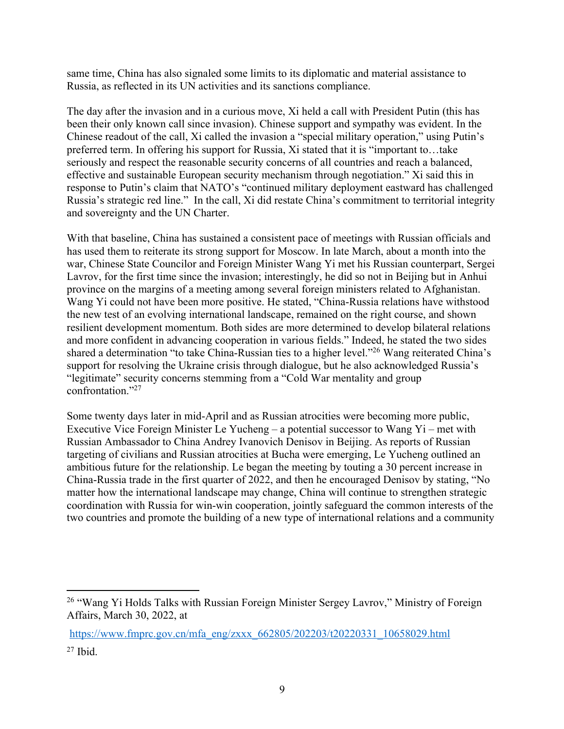same time, China has also signaled some limits to its diplomatic and material assistance to Russia, as reflected in its UN activities and its sanctions compliance.

The day after the invasion and in a curious move, Xi held a call with President Putin (this has been their only known call since invasion). Chinese support and sympathy was evident. In the Chinese readout of the call, Xi called the invasion a "special military operation," using Putin's preferred term. In offering his support for Russia, Xi stated that it is "important to…take seriously and respect the reasonable security concerns of all countries and reach a balanced, effective and sustainable European security mechanism through negotiation." Xi said this in response to Putin's claim that NATO's "continued military deployment eastward has challenged Russia's strategic red line." In the call, Xi did restate China's commitment to territorial integrity and sovereignty and the UN Charter.

With that baseline, China has sustained a consistent pace of meetings with Russian officials and has used them to reiterate its strong support for Moscow. In late March, about a month into the war, Chinese State Councilor and Foreign Minister Wang Yi met his Russian counterpart, Sergei Lavrov, for the first time since the invasion; interestingly, he did so not in Beijing but in Anhui province on the margins of a meeting among several foreign ministers related to Afghanistan. Wang Yi could not have been more positive. He stated, "China-Russia relations have withstood the new test of an evolving international landscape, remained on the right course, and shown resilient development momentum. Both sides are more determined to develop bilateral relations and more confident in advancing cooperation in various fields." Indeed, he stated the two sides shared a determination "to take China-Russian ties to a higher level."<sup>26</sup> Wang reiterated China's support for resolving the Ukraine crisis through dialogue, but he also acknowledged Russia's "legitimate" security concerns stemming from a "Cold War mentality and group confrontation."27

Some twenty days later in mid-April and as Russian atrocities were becoming more public, Executive Vice Foreign Minister Le Yucheng – a potential successor to Wang Yi – met with Russian Ambassador to China Andrey Ivanovich Denisov in Beijing. As reports of Russian targeting of civilians and Russian atrocities at Bucha were emerging, Le Yucheng outlined an ambitious future for the relationship. Le began the meeting by touting a 30 percent increase in China-Russia trade in the first quarter of 2022, and then he encouraged Denisov by stating, "No matter how the international landscape may change, China will continue to strengthen strategic coordination with Russia for win-win cooperation, jointly safeguard the common interests of the two countries and promote the building of a new type of international relations and a community

<sup>&</sup>lt;sup>26</sup> "Wang Yi Holds Talks with Russian Foreign Minister Sergey Lavrov," Ministry of Foreign Affairs, March 30, 2022, at

https://www.fmprc.gov.cn/mfa\_eng/zxxx\_662805/202203/t20220331\_10658029.html  $27$  Ibid.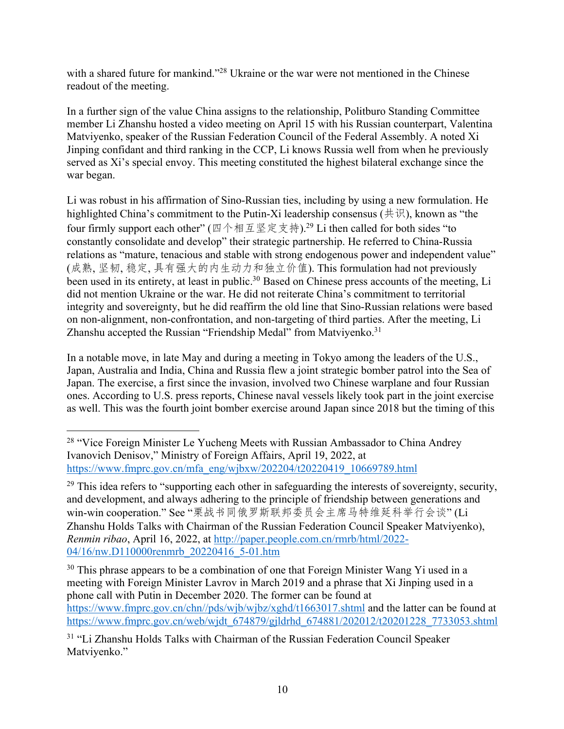with a shared future for mankind."<sup>28</sup> Ukraine or the war were not mentioned in the Chinese readout of the meeting.

In a further sign of the value China assigns to the relationship, Politburo Standing Committee member Li Zhanshu hosted a video meeting on April 15 with his Russian counterpart, Valentina Matviyenko, speaker of the Russian Federation Council of the Federal Assembly. A noted Xi Jinping confidant and third ranking in the CCP, Li knows Russia well from when he previously served as Xi's special envoy. This meeting constituted the highest bilateral exchange since the war began.

Li was robust in his affirmation of Sino-Russian ties, including by using a new formulation. He highlighted China's commitment to the Putin-Xi leadership consensus ( $\#\#$ ), known as "the four firmly support each other" ( $\mathbb{Z} \triangleleft \# \mathbb{Z} \not\equiv \pm \frac{1}{2}$ ).<sup>29</sup> Li then called for both sides "to constantly consolidate and develop" their strategic partnership. He referred to China-Russia relations as "mature, tenacious and stable with strong endogenous power and independent value" (成熟,坚韧,稳定,具有强大的内生动力和独立价值). This formulation had not previously been used in its entirety, at least in public.<sup>30</sup> Based on Chinese press accounts of the meeting, Li did not mention Ukraine or the war. He did not reiterate China's commitment to territorial integrity and sovereignty, but he did reaffirm the old line that Sino-Russian relations were based on non-alignment, non-confrontation, and non-targeting of third parties. After the meeting, Li Zhanshu accepted the Russian "Friendship Medal" from Matviyenko.<sup>31</sup>

In a notable move, in late May and during a meeting in Tokyo among the leaders of the U.S., Japan, Australia and India, China and Russia flew a joint strategic bomber patrol into the Sea of Japan. The exercise, a first since the invasion, involved two Chinese warplane and four Russian ones. According to U.S. press reports, Chinese naval vessels likely took part in the joint exercise as well. This was the fourth joint bomber exercise around Japan since 2018 but the timing of this

<sup>&</sup>lt;sup>28</sup> "Vice Foreign Minister Le Yucheng Meets with Russian Ambassador to China Andrey Ivanovich Denisov," Ministry of Foreign Affairs, April 19, 2022, at https://www.fmprc.gov.cn/mfa\_eng/wjbxw/202204/t20220419\_10669789.html

<sup>&</sup>lt;sup>29</sup> This idea refers to "supporting each other in safeguarding the interests of sovereignty, security, and development, and always adhering to the principle of friendship between generations and win-win cooperation." See "栗战书同俄罗斯联邦委员会主席马特维延科举行会谈"(Li Zhanshu Holds Talks with Chairman of the Russian Federation Council Speaker Matviyenko), *Renmin ribao*, April 16, 2022, at http://paper.people.com.cn/rmrb/html/2022- 04/16/nw.D110000renmrb\_20220416\_5-01.htm

 $30$  This phrase appears to be a combination of one that Foreign Minister Wang Yi used in a meeting with Foreign Minister Lavrov in March 2019 and a phrase that Xi Jinping used in a phone call with Putin in December 2020. The former can be found at https://www.fmprc.gov.cn/chn//pds/wjb/wjbz/xghd/t1663017.shtml and the latter can be found at https://www.fmprc.gov.cn/web/wjdt\_674879/gjldrhd\_674881/202012/t20201228\_7733053.shtml

<sup>31</sup> "Li Zhanshu Holds Talks with Chairman of the Russian Federation Council Speaker Matviyenko."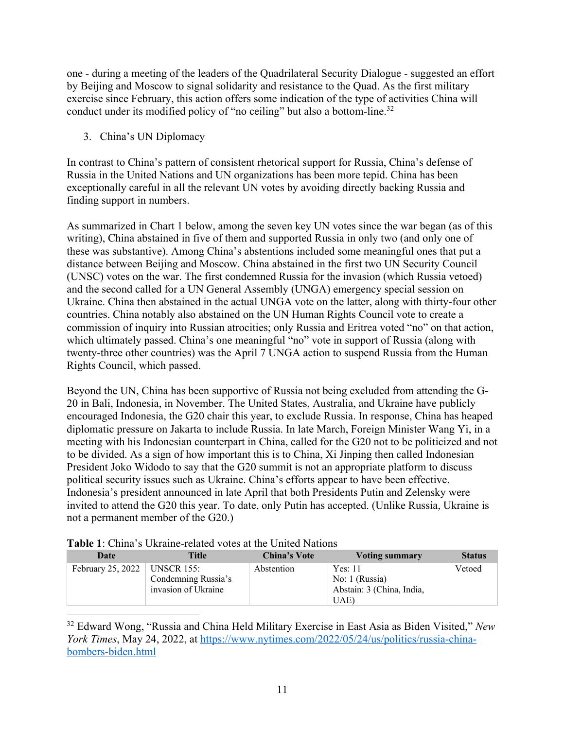one - during a meeting of the leaders of the Quadrilateral Security Dialogue - suggested an effort by Beijing and Moscow to signal solidarity and resistance to the Quad. As the first military exercise since February, this action offers some indication of the type of activities China will conduct under its modified policy of "no ceiling" but also a bottom-line.<sup>32</sup>

3. China's UN Diplomacy

In contrast to China's pattern of consistent rhetorical support for Russia, China's defense of Russia in the United Nations and UN organizations has been more tepid. China has been exceptionally careful in all the relevant UN votes by avoiding directly backing Russia and finding support in numbers.

As summarized in Chart 1 below, among the seven key UN votes since the war began (as of this writing), China abstained in five of them and supported Russia in only two (and only one of these was substantive). Among China's abstentions included some meaningful ones that put a distance between Beijing and Moscow. China abstained in the first two UN Security Council (UNSC) votes on the war. The first condemned Russia for the invasion (which Russia vetoed) and the second called for a UN General Assembly (UNGA) emergency special session on Ukraine. China then abstained in the actual UNGA vote on the latter, along with thirty-four other countries. China notably also abstained on the UN Human Rights Council vote to create a commission of inquiry into Russian atrocities; only Russia and Eritrea voted "no" on that action, which ultimately passed. China's one meaningful "no" vote in support of Russia (along with twenty-three other countries) was the April 7 UNGA action to suspend Russia from the Human Rights Council, which passed.

Beyond the UN, China has been supportive of Russia not being excluded from attending the G-20 in Bali, Indonesia, in November. The United States, Australia, and Ukraine have publicly encouraged Indonesia, the G20 chair this year, to exclude Russia. In response, China has heaped diplomatic pressure on Jakarta to include Russia. In late March, Foreign Minister Wang Yi, in a meeting with his Indonesian counterpart in China, called for the G20 not to be politicized and not to be divided. As a sign of how important this is to China, Xi Jinping then called Indonesian President Joko Widodo to say that the G20 summit is not an appropriate platform to discuss political security issues such as Ukraine. China's efforts appear to have been effective. Indonesia's president announced in late April that both Presidents Putin and Zelensky were invited to attend the G20 this year. To date, only Putin has accepted. (Unlike Russia, Ukraine is not a permanent member of the G20.)

| Date                           | Title                                      | <b>China's Vote</b> | Voting summary                                                 | <b>Status</b> |  |  |
|--------------------------------|--------------------------------------------|---------------------|----------------------------------------------------------------|---------------|--|--|
| February 25, 2022   UNSCR 155: | Condemning Russia's<br>invasion of Ukraine | Abstention          | Yes: 11<br>No: 1 (Russia)<br>Abstain: 3 (China, India,<br>UAE) | Vetoed        |  |  |

**Table 1**: China's Ukraine-related votes at the United Nations

<sup>32</sup> Edward Wong, "Russia and China Held Military Exercise in East Asia as Biden Visited," *New York Times*, May 24, 2022, at https://www.nytimes.com/2022/05/24/us/politics/russia-chinabombers-biden.html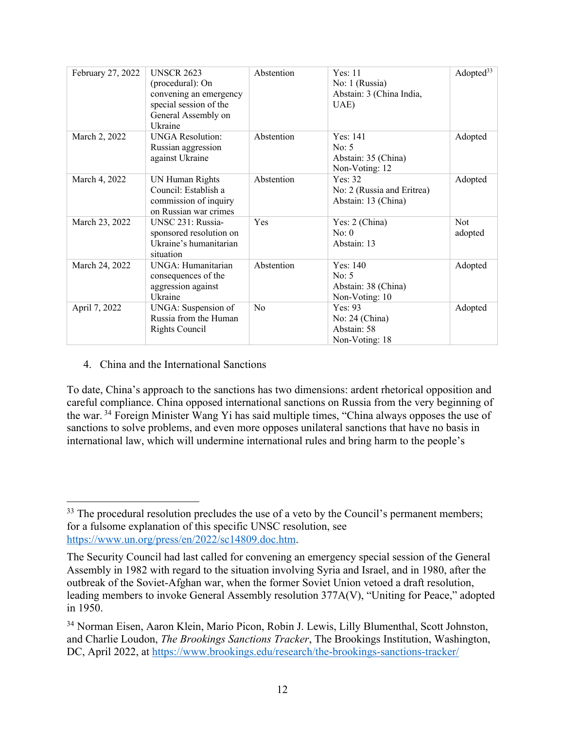| February 27, 2022 | <b>UNSCR 2623</b><br>(procedural): On<br>convening an emergency<br>special session of the<br>General Assembly on<br>Ukraine | Abstention     | Yes: 11<br>No: 1 (Russia)<br>Abstain: 3 (China India,<br>UAE)  | Adopted $33$          |
|-------------------|-----------------------------------------------------------------------------------------------------------------------------|----------------|----------------------------------------------------------------|-----------------------|
| March 2, 2022     | <b>UNGA Resolution:</b><br>Russian aggression<br>against Ukraine                                                            | Abstention     | Yes: 141<br>No: $5$<br>Abstain: 35 (China)<br>Non-Voting: 12   | Adopted               |
| March 4, 2022     | UN Human Rights<br>Council: Establish a<br>commission of inquiry<br>on Russian war crimes                                   | Abstention     | Yes: $32$<br>No: 2 (Russia and Eritrea)<br>Abstain: 13 (China) | Adopted               |
| March 23, 2022    | UNSC 231: Russia-<br>sponsored resolution on<br>Ukraine's humanitarian<br>situation                                         | Yes            | Yes: 2 (China)<br>No: 0<br>Abstain: 13                         | <b>Not</b><br>adopted |
| March 24, 2022    | UNGA: Humanitarian<br>consequences of the<br>aggression against<br>Ukraine                                                  | Abstention     | Yes: 140<br>No: $5$<br>Abstain: 38 (China)<br>Non-Voting: 10   | Adopted               |
| April 7, 2022     | UNGA: Suspension of<br>Russia from the Human<br><b>Rights Council</b>                                                       | N <sub>0</sub> | Yes: $93$<br>No: 24 (China)<br>Abstain: 58<br>Non-Voting: 18   | Adopted               |

4. China and the International Sanctions

To date, China's approach to the sanctions has two dimensions: ardent rhetorical opposition and careful compliance. China opposed international sanctions on Russia from the very beginning of the war. <sup>34</sup> Foreign Minister Wang Yi has said multiple times, "China always opposes the use of sanctions to solve problems, and even more opposes unilateral sanctions that have no basis in international law, which will undermine international rules and bring harm to the people's

 $33$  The procedural resolution precludes the use of a veto by the Council's permanent members; for a fulsome explanation of this specific UNSC resolution, see https://www.un.org/press/en/2022/sc14809.doc.htm.

The Security Council had last called for convening an emergency special session of the General Assembly in 1982 with regard to the situation involving Syria and Israel, and in 1980, after the outbreak of the Soviet-Afghan war, when the former Soviet Union vetoed a draft resolution, leading members to invoke General Assembly resolution 377A(V), "Uniting for Peace," adopted in 1950.

<sup>34</sup> Norman Eisen, Aaron Klein, Mario Picon, Robin J. Lewis, Lilly Blumenthal, Scott Johnston, and Charlie Loudon, *The Brookings Sanctions Tracker*, The Brookings Institution, Washington, DC, April 2022, at https://www.brookings.edu/research/the-brookings-sanctions-tracker/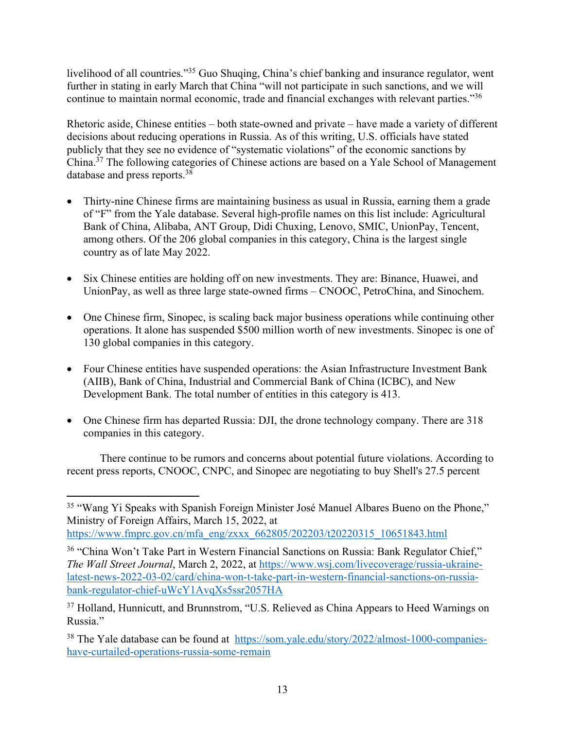livelihood of all countries."<sup>35</sup> Guo Shuqing, China's chief banking and insurance regulator, went further in stating in early March that China "will not participate in such sanctions, and we will continue to maintain normal economic, trade and financial exchanges with relevant parties."36

Rhetoric aside, Chinese entities – both state-owned and private – have made a variety of different decisions about reducing operations in Russia. As of this writing, U.S. officials have stated publicly that they see no evidence of "systematic violations" of the economic sanctions by China. <sup>37</sup> The following categories of Chinese actions are based on a Yale School of Management database and press reports. 38

- Thirty-nine Chinese firms are maintaining business as usual in Russia, earning them a grade of "F" from the Yale database. Several high-profile names on this list include: Agricultural Bank of China, Alibaba, ANT Group, Didi Chuxing, Lenovo, SMIC, UnionPay, Tencent, among others. Of the 206 global companies in this category, China is the largest single country as of late May 2022.
- Six Chinese entities are holding off on new investments. They are: Binance, Huawei, and UnionPay, as well as three large state-owned firms – CNOOC, PetroChina, and Sinochem.
- One Chinese firm, Sinopec, is scaling back major business operations while continuing other operations. It alone has suspended \$500 million worth of new investments. Sinopec is one of 130 global companies in this category.
- Four Chinese entities have suspended operations: the Asian Infrastructure Investment Bank (AIIB), Bank of China, Industrial and Commercial Bank of China (ICBC), and New Development Bank. The total number of entities in this category is 413.
- One Chinese firm has departed Russia: DJI, the drone technology company. There are 318 companies in this category.

There continue to be rumors and concerns about potential future violations. According to recent press reports, CNOOC, CNPC, and Sinopec are negotiating to buy Shell's 27.5 percent

https://www.fmprc.gov.cn/mfa\_eng/zxxx\_662805/202203/t20220315\_10651843.html

<sup>35</sup> "Wang Yi Speaks with Spanish Foreign Minister José Manuel Albares Bueno on the Phone," Ministry of Foreign Affairs, March 15, 2022, at

<sup>36</sup> "China Won't Take Part in Western Financial Sanctions on Russia: Bank Regulator Chief," *The Wall Street Journal*, March 2, 2022, at https://www.wsj.com/livecoverage/russia-ukrainelatest-news-2022-03-02/card/china-won-t-take-part-in-western-financial-sanctions-on-russiabank-regulator-chief-uWcY1AvqXs5ssr2057HA

<sup>&</sup>lt;sup>37</sup> Holland, Hunnicutt, and Brunnstrom, "U.S. Relieved as China Appears to Heed Warnings on Russia."

<sup>38</sup> The Yale database can be found at https://som.yale.edu/story/2022/almost-1000-companieshave-curtailed-operations-russia-some-remain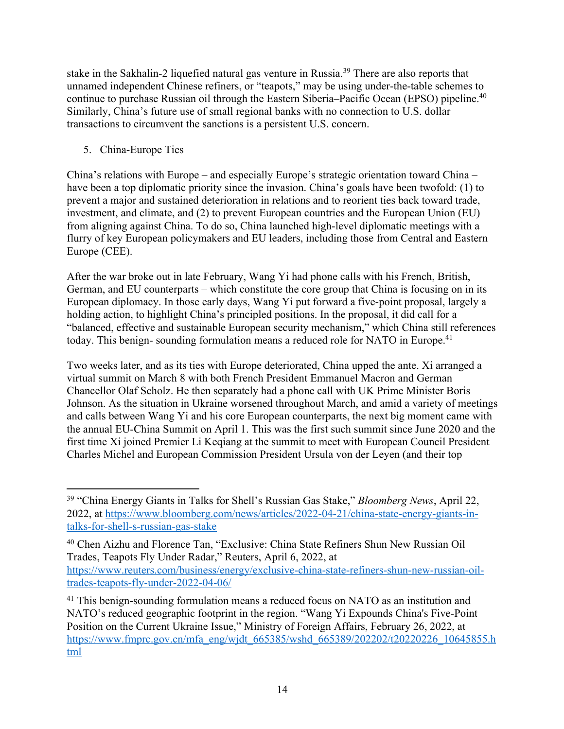stake in the Sakhalin-2 liquefied natural gas venture in Russia.<sup>39</sup> There are also reports that unnamed independent Chinese refiners, or "teapots," may be using under-the-table schemes to continue to purchase Russian oil through the Eastern Siberia–Pacific Ocean (EPSO) pipeline.<sup>40</sup> Similarly, China's future use of small regional banks with no connection to U.S. dollar transactions to circumvent the sanctions is a persistent U.S. concern.

5. China-Europe Ties

China's relations with Europe – and especially Europe's strategic orientation toward China – have been a top diplomatic priority since the invasion. China's goals have been twofold: (1) to prevent a major and sustained deterioration in relations and to reorient ties back toward trade, investment, and climate, and (2) to prevent European countries and the European Union (EU) from aligning against China. To do so, China launched high-level diplomatic meetings with a flurry of key European policymakers and EU leaders, including those from Central and Eastern Europe (CEE).

After the war broke out in late February, Wang Yi had phone calls with his French, British, German, and EU counterparts – which constitute the core group that China is focusing on in its European diplomacy. In those early days, Wang Yi put forward a five-point proposal, largely a holding action, to highlight China's principled positions. In the proposal, it did call for a "balanced, effective and sustainable European security mechanism," which China still references today. This benign-sounding formulation means a reduced role for NATO in Europe.<sup>41</sup>

Two weeks later, and as its ties with Europe deteriorated, China upped the ante. Xi arranged a virtual summit on March 8 with both French President Emmanuel Macron and German Chancellor Olaf Scholz. He then separately had a phone call with UK Prime Minister Boris Johnson. As the situation in Ukraine worsened throughout March, and amid a variety of meetings and calls between Wang Yi and his core European counterparts, the next big moment came with the annual EU-China Summit on April 1. This was the first such summit since June 2020 and the first time Xi joined Premier Li Keqiang at the summit to meet with European Council President Charles Michel and European Commission President Ursula von der Leyen (and their top

<sup>39</sup> "China Energy Giants in Talks for Shell's Russian Gas Stake," *Bloomberg News*, April 22, 2022, at https://www.bloomberg.com/news/articles/2022-04-21/china-state-energy-giants-intalks-for-shell-s-russian-gas-stake

<sup>40</sup> Chen Aizhu and Florence Tan, "Exclusive: China State Refiners Shun New Russian Oil Trades, Teapots Fly Under Radar," Reuters, April 6, 2022, at https://www.reuters.com/business/energy/exclusive-china-state-refiners-shun-new-russian-oiltrades-teapots-fly-under-2022-04-06/

<sup>&</sup>lt;sup>41</sup> This benign-sounding formulation means a reduced focus on NATO as an institution and NATO's reduced geographic footprint in the region. "Wang Yi Expounds China's Five-Point Position on the Current Ukraine Issue," Ministry of Foreign Affairs, February 26, 2022, at https://www.fmprc.gov.cn/mfa\_eng/wjdt\_665385/wshd\_665389/202202/t20220226\_10645855.h tml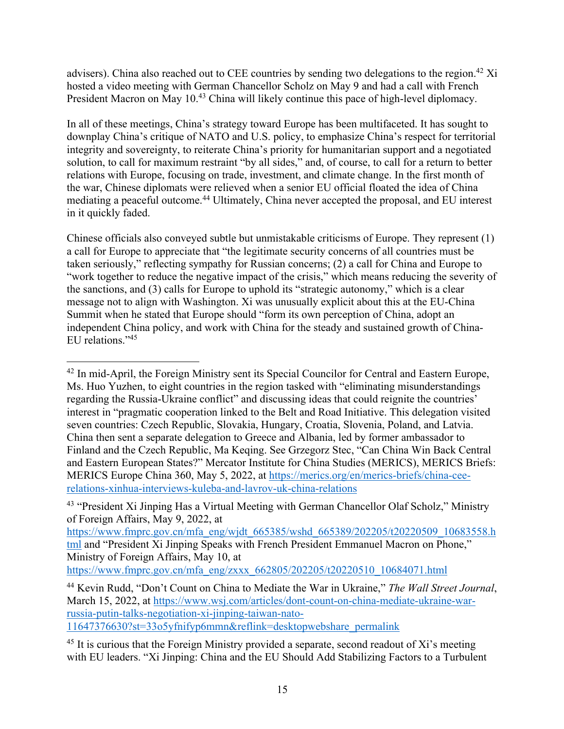advisers). China also reached out to CEE countries by sending two delegations to the region.<sup>42</sup> Xi hosted a video meeting with German Chancellor Scholz on May 9 and had a call with French President Macron on May 10.<sup>43</sup> China will likely continue this pace of high-level diplomacy.

In all of these meetings, China's strategy toward Europe has been multifaceted. It has sought to downplay China's critique of NATO and U.S. policy, to emphasize China's respect for territorial integrity and sovereignty, to reiterate China's priority for humanitarian support and a negotiated solution, to call for maximum restraint "by all sides," and, of course, to call for a return to better relations with Europe, focusing on trade, investment, and climate change. In the first month of the war, Chinese diplomats were relieved when a senior EU official floated the idea of China mediating a peaceful outcome. <sup>44</sup> Ultimately, China never accepted the proposal, and EU interest in it quickly faded.

Chinese officials also conveyed subtle but unmistakable criticisms of Europe. They represent (1) a call for Europe to appreciate that "the legitimate security concerns of all countries must be taken seriously," reflecting sympathy for Russian concerns; (2) a call for China and Europe to "work together to reduce the negative impact of the crisis," which means reducing the severity of the sanctions, and (3) calls for Europe to uphold its "strategic autonomy," which is a clear message not to align with Washington. Xi was unusually explicit about this at the EU-China Summit when he stated that Europe should "form its own perception of China, adopt an independent China policy, and work with China for the steady and sustained growth of China-EU relations."45

https://www.fmprc.gov.cn/mfa\_eng/zxxx\_662805/202205/t20220510\_10684071.html

11647376630?st=33o5yfnifyp6mmn&reflink=desktopwebshare\_permalink

<sup>&</sup>lt;sup>42</sup> In mid-April, the Foreign Ministry sent its Special Councilor for Central and Eastern Europe, Ms. Huo Yuzhen, to eight countries in the region tasked with "eliminating misunderstandings regarding the Russia-Ukraine conflict" and discussing ideas that could reignite the countries' interest in "pragmatic cooperation linked to the Belt and Road Initiative. This delegation visited seven countries: Czech Republic, Slovakia, Hungary, Croatia, Slovenia, Poland, and Latvia. China then sent a separate delegation to Greece and Albania, led by former ambassador to Finland and the Czech Republic, Ma Keqing. See Grzegorz Stec, "Can China Win Back Central and Eastern European States?" Mercator Institute for China Studies (MERICS), MERICS Briefs: MERICS Europe China 360, May 5, 2022, at https://merics.org/en/merics-briefs/china-ceerelations-xinhua-interviews-kuleba-and-lavrov-uk-china-relations

<sup>43</sup> "President Xi Jinping Has a Virtual Meeting with German Chancellor Olaf Scholz," Ministry of Foreign Affairs, May 9, 2022, at

https://www.fmprc.gov.cn/mfa\_eng/wjdt\_665385/wshd\_665389/202205/t20220509\_10683558.h tml and "President Xi Jinping Speaks with French President Emmanuel Macron on Phone," Ministry of Foreign Affairs, May 10, at

<sup>44</sup> Kevin Rudd, "Don't Count on China to Mediate the War in Ukraine," *The Wall Street Journal*, March 15, 2022, at https://www.wsj.com/articles/dont-count-on-china-mediate-ukraine-warrussia-putin-talks-negotiation-xi-jinping-taiwan-nato-

 $45$  It is curious that the Foreign Ministry provided a separate, second readout of Xi's meeting with EU leaders. "Xi Jinping: China and the EU Should Add Stabilizing Factors to a Turbulent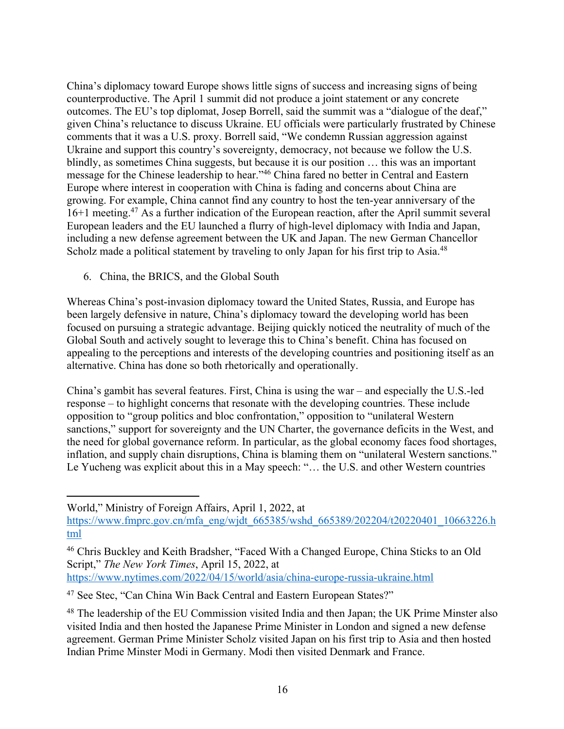China's diplomacy toward Europe shows little signs of success and increasing signs of being counterproductive. The April 1 summit did not produce a joint statement or any concrete outcomes. The EU's top diplomat, Josep Borrell, said the summit was a "dialogue of the deaf," given China's reluctance to discuss Ukraine. EU officials were particularly frustrated by Chinese comments that it was a U.S. proxy. Borrell said, "We condemn Russian aggression against Ukraine and support this country's sovereignty, democracy, not because we follow the U.S. blindly, as sometimes China suggests, but because it is our position … this was an important message for the Chinese leadership to hear."46 China fared no better in Central and Eastern Europe where interest in cooperation with China is fading and concerns about China are growing. For example, China cannot find any country to host the ten-year anniversary of the 16+1 meeting.47 As a further indication of the European reaction, after the April summit several European leaders and the EU launched a flurry of high-level diplomacy with India and Japan, including a new defense agreement between the UK and Japan. The new German Chancellor Scholz made a political statement by traveling to only Japan for his first trip to Asia.<sup>48</sup>

6. China, the BRICS, and the Global South

Whereas China's post-invasion diplomacy toward the United States, Russia, and Europe has been largely defensive in nature, China's diplomacy toward the developing world has been focused on pursuing a strategic advantage. Beijing quickly noticed the neutrality of much of the Global South and actively sought to leverage this to China's benefit. China has focused on appealing to the perceptions and interests of the developing countries and positioning itself as an alternative. China has done so both rhetorically and operationally.

China's gambit has several features. First, China is using the war – and especially the U.S.-led response – to highlight concerns that resonate with the developing countries. These include opposition to "group politics and bloc confrontation," opposition to "unilateral Western sanctions," support for sovereignty and the UN Charter, the governance deficits in the West, and the need for global governance reform. In particular, as the global economy faces food shortages, inflation, and supply chain disruptions, China is blaming them on "unilateral Western sanctions." Le Yucheng was explicit about this in a May speech: "… the U.S. and other Western countries

World," Ministry of Foreign Affairs, April 1, 2022, at

https://www.fmprc.gov.cn/mfa\_eng/wjdt\_665385/wshd\_665389/202204/t20220401\_10663226.h tml

<sup>46</sup> Chris Buckley and Keith Bradsher, "Faced With a Changed Europe, China Sticks to an Old Script," *The New York Times*, April 15, 2022, at https://www.nytimes.com/2022/04/15/world/asia/china-europe-russia-ukraine.html

<sup>47</sup> See Stec, "Can China Win Back Central and Eastern European States?"

<sup>&</sup>lt;sup>48</sup> The leadership of the EU Commission visited India and then Japan; the UK Prime Minster also visited India and then hosted the Japanese Prime Minister in London and signed a new defense agreement. German Prime Minister Scholz visited Japan on his first trip to Asia and then hosted Indian Prime Minster Modi in Germany. Modi then visited Denmark and France.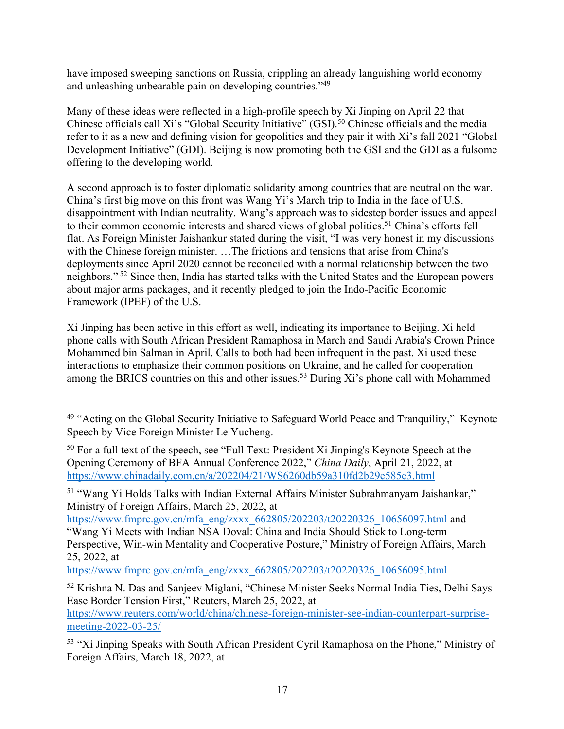have imposed sweeping sanctions on Russia, crippling an already languishing world economy and unleashing unbearable pain on developing countries."49

Many of these ideas were reflected in a high-profile speech by Xi Jinping on April 22 that Chinese officials call Xi's "Global Security Initiative" (GSI). <sup>50</sup> Chinese officials and the media refer to it as a new and defining vision for geopolitics and they pair it with Xi's fall 2021 "Global Development Initiative" (GDI). Beijing is now promoting both the GSI and the GDI as a fulsome offering to the developing world.

A second approach is to foster diplomatic solidarity among countries that are neutral on the war. China's first big move on this front was Wang Yi's March trip to India in the face of U.S. disappointment with Indian neutrality. Wang's approach was to sidestep border issues and appeal to their common economic interests and shared views of global politics.<sup>51</sup> China's efforts fell flat. As Foreign Minister Jaishankur stated during the visit, "I was very honest in my discussions with the Chinese foreign minister. …The frictions and tensions that arise from China's deployments since April 2020 cannot be reconciled with a normal relationship between the two neighbors." <sup>52</sup> Since then, India has started talks with the United States and the European powers about major arms packages, and it recently pledged to join the Indo-Pacific Economic Framework (IPEF) of the U.S.

Xi Jinping has been active in this effort as well, indicating its importance to Beijing. Xi held phone calls with South African President Ramaphosa in March and Saudi Arabia's Crown Prince Mohammed bin Salman in April. Calls to both had been infrequent in the past. Xi used these interactions to emphasize their common positions on Ukraine, and he called for cooperation among the BRICS countries on this and other issues.<sup>53</sup> During Xi's phone call with Mohammed

https://www.fmprc.gov.cn/mfa\_eng/zxxx\_662805/202203/t20220326\_10656097.html and "Wang Yi Meets with Indian NSA Doval: China and India Should Stick to Long-term Perspective, Win-win Mentality and Cooperative Posture," Ministry of Foreign Affairs, March 25, 2022, at

https://www.fmprc.gov.cn/mfa\_eng/zxxx\_662805/202203/t20220326\_10656095.html

<sup>&</sup>lt;sup>49</sup> "Acting on the Global Security Initiative to Safeguard World Peace and Tranquility," Keynote Speech by Vice Foreign Minister Le Yucheng.

<sup>&</sup>lt;sup>50</sup> For a full text of the speech, see "Full Text: President Xi Jinping's Keynote Speech at the Opening Ceremony of BFA Annual Conference 2022," *China Daily*, April 21, 2022, at https://www.chinadaily.com.cn/a/202204/21/WS6260db59a310fd2b29e585e3.html

<sup>51</sup> "Wang Yi Holds Talks with Indian External Affairs Minister Subrahmanyam Jaishankar," Ministry of Foreign Affairs, March 25, 2022, at

<sup>52</sup> Krishna N. Das and Sanjeev Miglani, "Chinese Minister Seeks Normal India Ties, Delhi Says Ease Border Tension First," Reuters, March 25, 2022, at https://www.reuters.com/world/china/chinese-foreign-minister-see-indian-counterpart-surprisemeeting-2022-03-25/

<sup>53</sup> "Xi Jinping Speaks with South African President Cyril Ramaphosa on the Phone," Ministry of Foreign Affairs, March 18, 2022, at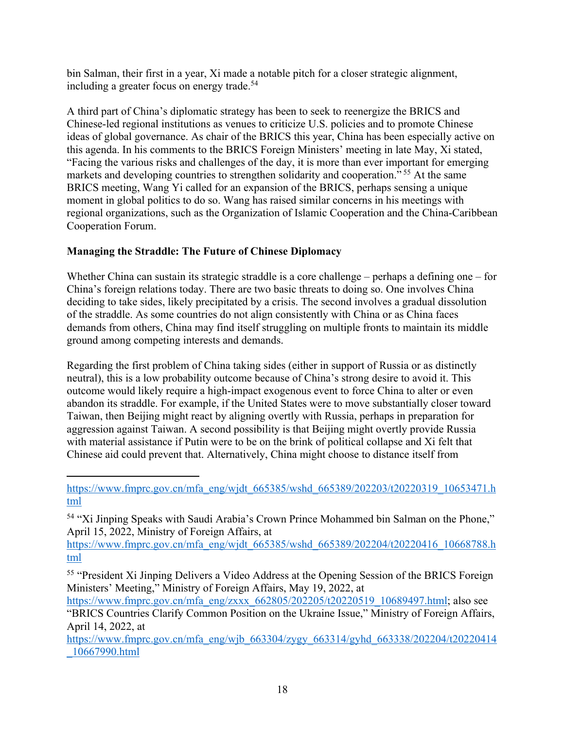bin Salman, their first in a year, Xi made a notable pitch for a closer strategic alignment, including a greater focus on energy trade.<sup>54</sup>

A third part of China's diplomatic strategy has been to seek to reenergize the BRICS and Chinese-led regional institutions as venues to criticize U.S. policies and to promote Chinese ideas of global governance. As chair of the BRICS this year, China has been especially active on this agenda. In his comments to the BRICS Foreign Ministers' meeting in late May, Xi stated, "Facing the various risks and challenges of the day, it is more than ever important for emerging markets and developing countries to strengthen solidarity and cooperation." <sup>55</sup> At the same BRICS meeting, Wang Yi called for an expansion of the BRICS, perhaps sensing a unique moment in global politics to do so. Wang has raised similar concerns in his meetings with regional organizations, such as the Organization of Islamic Cooperation and the China-Caribbean Cooperation Forum.

#### **Managing the Straddle: The Future of Chinese Diplomacy**

Whether China can sustain its strategic straddle is a core challenge – perhaps a defining one – for China's foreign relations today. There are two basic threats to doing so. One involves China deciding to take sides, likely precipitated by a crisis. The second involves a gradual dissolution of the straddle. As some countries do not align consistently with China or as China faces demands from others, China may find itself struggling on multiple fronts to maintain its middle ground among competing interests and demands.

Regarding the first problem of China taking sides (either in support of Russia or as distinctly neutral), this is a low probability outcome because of China's strong desire to avoid it. This outcome would likely require a high-impact exogenous event to force China to alter or even abandon its straddle. For example, if the United States were to move substantially closer toward Taiwan, then Beijing might react by aligning overtly with Russia, perhaps in preparation for aggression against Taiwan. A second possibility is that Beijing might overtly provide Russia with material assistance if Putin were to be on the brink of political collapse and Xi felt that Chinese aid could prevent that. Alternatively, China might choose to distance itself from

https://www.fmprc.gov.cn/mfa\_eng/wjdt\_665385/wshd\_665389/202203/t20220319\_10653471.h tml

<sup>54</sup> "Xi Jinping Speaks with Saudi Arabia's Crown Prince Mohammed bin Salman on the Phone," April 15, 2022, Ministry of Foreign Affairs, at

https://www.fmprc.gov.cn/mfa\_eng/wjdt\_665385/wshd\_665389/202204/t20220416\_10668788.h tml

<sup>55</sup> "President Xi Jinping Delivers a Video Address at the Opening Session of the BRICS Foreign Ministers' Meeting," Ministry of Foreign Affairs, May 19, 2022, at

https://www.fmprc.gov.cn/mfa\_eng/zxxx\_662805/202205/t20220519\_10689497.html; also see "BRICS Countries Clarify Common Position on the Ukraine Issue," Ministry of Foreign Affairs, April 14, 2022, at

https://www.fmprc.gov.cn/mfa\_eng/wjb\_663304/zygy\_663314/gyhd\_663338/202204/t20220414 \_10667990.html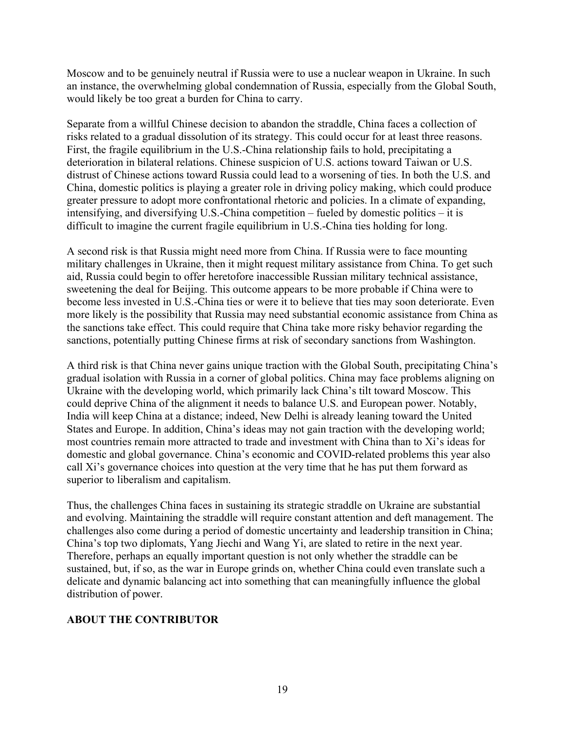Moscow and to be genuinely neutral if Russia were to use a nuclear weapon in Ukraine. In such an instance, the overwhelming global condemnation of Russia, especially from the Global South, would likely be too great a burden for China to carry.

Separate from a willful Chinese decision to abandon the straddle, China faces a collection of risks related to a gradual dissolution of its strategy. This could occur for at least three reasons. First, the fragile equilibrium in the U.S.-China relationship fails to hold, precipitating a deterioration in bilateral relations. Chinese suspicion of U.S. actions toward Taiwan or U.S. distrust of Chinese actions toward Russia could lead to a worsening of ties. In both the U.S. and China, domestic politics is playing a greater role in driving policy making, which could produce greater pressure to adopt more confrontational rhetoric and policies. In a climate of expanding, intensifying, and diversifying U.S.-China competition – fueled by domestic politics – it is difficult to imagine the current fragile equilibrium in U.S.-China ties holding for long.

A second risk is that Russia might need more from China. If Russia were to face mounting military challenges in Ukraine, then it might request military assistance from China. To get such aid, Russia could begin to offer heretofore inaccessible Russian military technical assistance, sweetening the deal for Beijing. This outcome appears to be more probable if China were to become less invested in U.S.-China ties or were it to believe that ties may soon deteriorate. Even more likely is the possibility that Russia may need substantial economic assistance from China as the sanctions take effect. This could require that China take more risky behavior regarding the sanctions, potentially putting Chinese firms at risk of secondary sanctions from Washington.

A third risk is that China never gains unique traction with the Global South, precipitating China's gradual isolation with Russia in a corner of global politics. China may face problems aligning on Ukraine with the developing world, which primarily lack China's tilt toward Moscow. This could deprive China of the alignment it needs to balance U.S. and European power. Notably, India will keep China at a distance; indeed, New Delhi is already leaning toward the United States and Europe. In addition, China's ideas may not gain traction with the developing world; most countries remain more attracted to trade and investment with China than to Xi's ideas for domestic and global governance. China's economic and COVID-related problems this year also call Xi's governance choices into question at the very time that he has put them forward as superior to liberalism and capitalism.

Thus, the challenges China faces in sustaining its strategic straddle on Ukraine are substantial and evolving. Maintaining the straddle will require constant attention and deft management. The challenges also come during a period of domestic uncertainty and leadership transition in China; China's top two diplomats, Yang Jiechi and Wang Yi, are slated to retire in the next year. Therefore, perhaps an equally important question is not only whether the straddle can be sustained, but, if so, as the war in Europe grinds on, whether China could even translate such a delicate and dynamic balancing act into something that can meaningfully influence the global distribution of power.

#### **ABOUT THE CONTRIBUTOR**